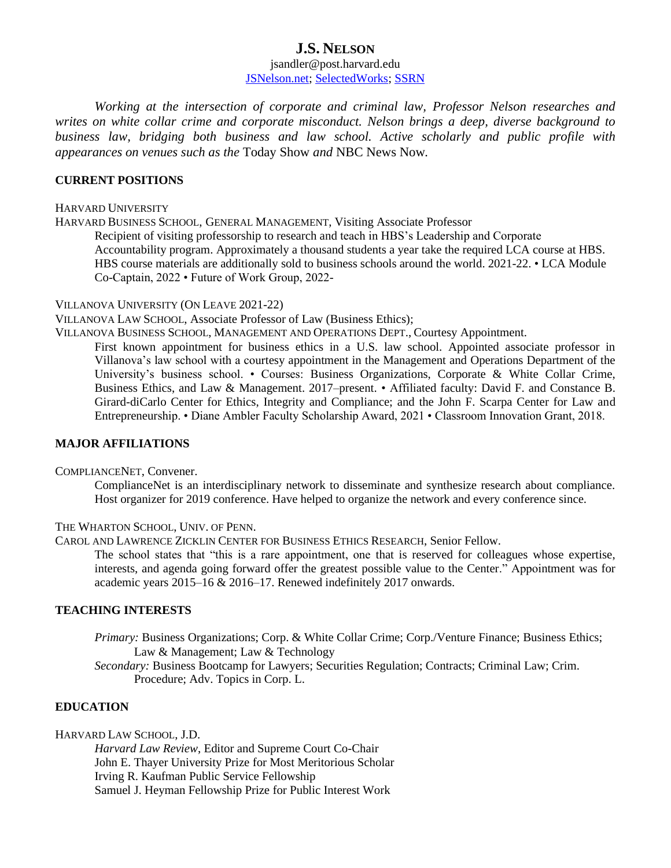# **J.S. NELSON**

### jsandler@post.harvard.edu [JSNelson.net;](../Version%20with%20REFERENCES/jsnelson.net) [SelectedWorks;](https://works.bepress.com/josephine_sandler_nelson/) [SSRN](https://papers.ssrn.com/sol3/cf_dev/AbsByAuth.cfm?per_id=2290306)

*Working at the intersection of corporate and criminal law, Professor Nelson researches and writes on white collar crime and corporate misconduct. Nelson brings a deep, diverse background to business law, bridging both business and law school. Active scholarly and public profile with appearances on venues such as the* Today Show *and* NBC News Now*.*

### **CURRENT POSITIONS**

#### HARVARD UNIVERSITY

HARVARD BUSINESS SCHOOL, GENERAL MANAGEMENT, Visiting Associate Professor Recipient of visiting professorship to research and teach in HBS's Leadership and Corporate Accountability program. Approximately a thousand students a year take the required LCA course at HBS. HBS course materials are additionally sold to business schools around the world. 2021-22. • LCA Module Co-Captain, 2022 • Future of Work Group, 2022-

#### VILLANOVA UNIVERSITY (ON LEAVE 2021-22)

VILLANOVA LAW SCHOOL, Associate Professor of Law (Business Ethics);

VILLANOVA BUSINESS SCHOOL, MANAGEMENT AND OPERATIONS DEPT., Courtesy Appointment.

First known appointment for business ethics in a U.S. law school. Appointed associate professor in Villanova's law school with a courtesy appointment in the Management and Operations Department of the University's business school. • Courses: Business Organizations, Corporate & White Collar Crime, Business Ethics, and Law & Management. 2017–present. • Affiliated faculty: David F. and Constance B. Girard-diCarlo Center for Ethics, Integrity and Compliance; and the John F. Scarpa Center for Law and Entrepreneurship. • Diane Ambler Faculty Scholarship Award, 2021 • Classroom Innovation Grant, 2018.

### **MAJOR AFFILIATIONS**

COMPLIANCENET, Convener.

ComplianceNet is an interdisciplinary network to disseminate and synthesize research about compliance. Host organizer for 2019 conference. Have helped to organize the network and every conference since.

THE WHARTON SCHOOL, UNIV. OF PENN.

CAROL AND LAWRENCE ZICKLIN CENTER FOR BUSINESS ETHICS RESEARCH, Senior Fellow.

The school states that "this is a rare appointment, one that is reserved for colleagues whose expertise, interests, and agenda going forward offer the greatest possible value to the Center." Appointment was for academic years 2015–16 & 2016–17. Renewed indefinitely 2017 onwards.

### **TEACHING INTERESTS**

*Primary: Business Organizations; Corp. & White Collar Crime; Corp./Venture Finance; Business Ethics;* Law & Management; Law & Technology

*Secondary:* Business Bootcamp for Lawyers; Securities Regulation; Contracts; Criminal Law; Crim. Procedure; Adv. Topics in Corp. L.

## **EDUCATION**

HARVARD LAW SCHOOL, J.D.

*Harvard Law Review*, Editor and Supreme Court Co-Chair John E. Thayer University Prize for Most Meritorious Scholar Irving R. Kaufman Public Service Fellowship Samuel J. Heyman Fellowship Prize for Public Interest Work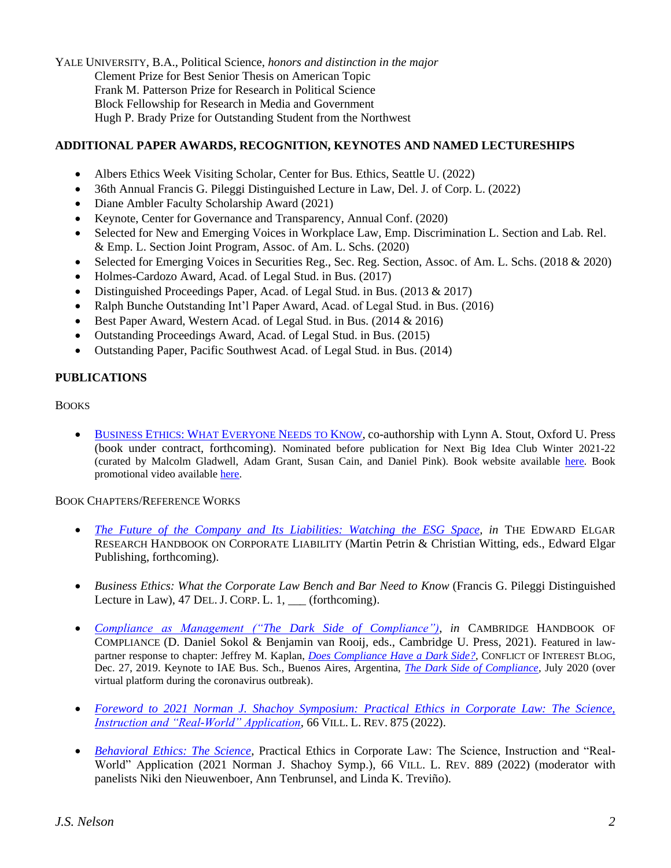YALE UNIVERSITY, B.A., Political Science, *honors and distinction in the major* Clement Prize for Best Senior Thesis on American Topic Frank M. Patterson Prize for Research in Political Science Block Fellowship for Research in Media and Government Hugh P. Brady Prize for Outstanding Student from the Northwest

# **ADDITIONAL PAPER AWARDS, RECOGNITION, KEYNOTES AND NAMED LECTURESHIPS**

- Albers Ethics Week Visiting Scholar, Center for Bus. Ethics, Seattle U. (2022)
- 36th Annual Francis G. Pileggi Distinguished Lecture in Law, Del. J. of Corp. L. (2022)
- Diane Ambler Faculty Scholarship Award (2021)
- Keynote, Center for Governance and Transparency, Annual Conf. (2020)
- Selected for New and Emerging Voices in Workplace Law, Emp. Discrimination L. Section and Lab. Rel. & Emp. L. Section Joint Program, Assoc. of Am. L. Schs. (2020)
- Selected for Emerging Voices in Securities Reg., Sec. Reg. Section, Assoc. of Am. L. Schs. (2018 & 2020)
- Holmes-Cardozo Award, Acad. of Legal Stud. in Bus. (2017)
- Distinguished Proceedings Paper, Acad. of Legal Stud. in Bus. (2013 & 2017)
- Ralph Bunche Outstanding Int'l Paper Award, Acad. of Legal Stud. in Bus. (2016)
- Best Paper Award, Western Acad. of Legal Stud. in Bus. (2014 & 2016)
- Outstanding Proceedings Award, Acad. of Legal Stud. in Bus. (2015)
- Outstanding Paper, Pacific Southwest Acad. of Legal Stud. in Bus. (2014)

# **PUBLICATIONS**

**BOOKS** 

• BUSINESS ETHICS: WHAT E[VERYONE](https://www.amazon.com/Business-Ethics-What-Everyone-Needs/dp/0190610263) NEEDS TO KNOW, co-authorship with Lynn A. Stout, Oxford U. Press (book under contract, forthcoming). Nominated before publication for Next Big Idea Club Winter 2021-22 (curated by Malcolm Gladwell, Adam Grant, Susan Cain, and Daniel Pink). Book website available [here.](https://www.jsnelson.net/book) Book promotional video available [here.](https://youtu.be/sQeFJ1ZxO2U)

### BOOK CHAPTERS/REFERENCE WORKS

- *The [Future of the Company and Its Liabilities: Watching the ESG Space,](https://papers.ssrn.com/sol3/papers.cfm?abstract_id=4057736) in* THE EDWARD ELGAR RESEARCH HANDBOOK ON CORPORATE LIABILITY (Martin Petrin & Christian Witting, eds., Edward Elgar Publishing, forthcoming).
- *Business Ethics: What the Corporate Law Bench and Bar Need to Know* (Francis G. Pileggi Distinguished Lecture in Law), 47 DEL. J. CORP. L. 1, \_\_\_ (forthcoming).
- *[Compliance as Management \("The Dark Side of Compliance"\)](https://papers.ssrn.com/sol3/papers.cfm?abstract_id=3451586)*, *in* CAMBRIDGE HANDBOOK OF COMPLIANCE (D. Daniel Sokol & Benjamin van Rooij, eds., Cambridge U. Press, 2021). Featured in lawpartner response to chapter: Jeffrey M. Kaplan, *[Does Compliance Have a Dark Side?](http://conflictofinterestblog.com/2019/12/does-compliance-have-a-dark-side.html)*, CONFLICT OF INTEREST BLOG, Dec. 27, 2019. Keynote to IAE Bus. Sch., Buenos Aires, Argentina, *[The Dark Side of Compliance](https://www.iae.edu.ar/es/LaEscuela/Eventos/Paginas/ElladooscurodeCompliance.aspx)*, July 2020 (over virtual platform during the coronavirus outbreak).
- *[Foreword to 2021 Norman J. Shachoy Symposium:](https://papers.ssrn.com/sol3/papers.cfm?abstract_id=3925292) Practical Ethics in Corporate Law: The Science, [Instruction and "Real-World" Application](https://papers.ssrn.com/sol3/papers.cfm?abstract_id=3925292)*, 66 VILL. L. REV. 875 (2022).
- *[Behavioral Ethics:](https://digitalcommons.law.villanova.edu/cgi/viewcontent.cgi?article=3505&context=vlr) The Science*, Practical Ethics in Corporate Law: The Science, Instruction and "Real-World" Application (2021 Norman J. Shachoy Symp.), 66 VILL. L. REV. 889 (2022) (moderator with panelists Niki den Nieuwenboer, Ann Tenbrunsel, and Linda K. Treviño).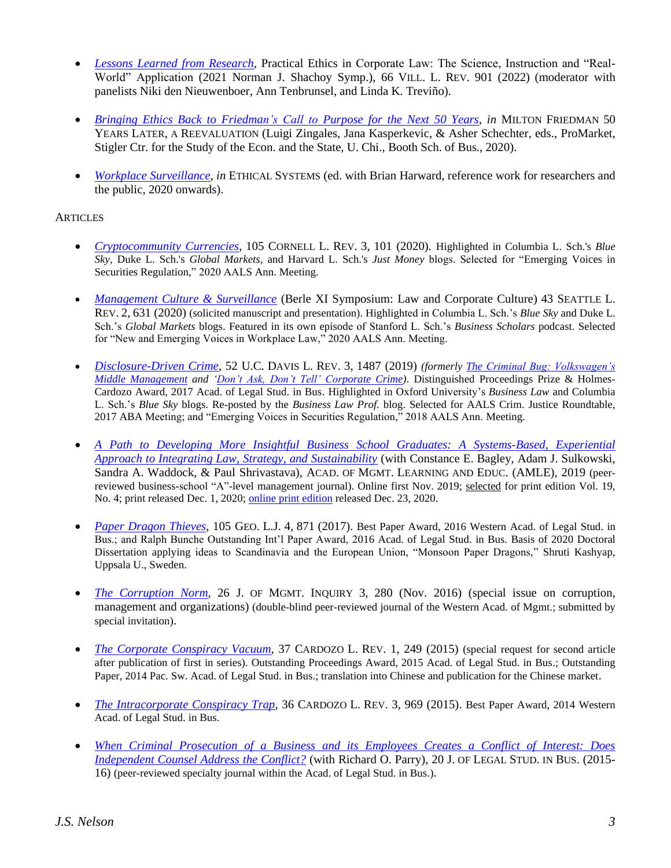- *[Lessons Learned from Research](https://digitalcommons.law.villanova.edu/cgi/viewcontent.cgi?article=3506&context=vlr)*, Practical Ethics in Corporate Law: The Science, Instruction and "Real-World" Application (2021 Norman J. Shachoy Symp.), 66 VILL. L. REV. 901 (2022) (moderator with panelists Niki den Nieuwenboer, Ann Tenbrunsel, and Linda K. Treviño).
- *[Bringing Ethics Back to Friedman's Call to](https://promarket.org/wp-content/uploads/2020/11/Milton-Friedman-50-years-later-ebook.pdf) Purpose for the Next 50 Years*, *in* MILTON FRIEDMAN 50 YEARS LATER, A REEVALUATION (Luigi Zingales, Jana Kasperkevic, & Asher Schechter, eds., ProMarket, Stigler Ctr. for the Study of the Econ. and the State, U. Chi., Booth Sch. of Bus., 2020).
- *Workplace [Surveillance,](https://www.ethicalsystems.org/workplace-surveillance/) in* ETHICAL SYSTEMS (ed. with Brian Harward, reference work for researchers and the public, 2020 onwards).

# **ARTICLES**

- *[Cryptocommunity Currencies](https://papers.ssrn.com/sol3/papers.cfm?abstract_id=3308645)*, 105 CORNELL L. REV. 3, 101 (2020). Highlighted in Columbia L. Sch.'s *Blue Sky*, Duke L. Sch.'s *Global Markets*, and Harvard L. Sch.'s *Just Money* blogs. Selected for "Emerging Voices in Securities Regulation," 2020 AALS Ann. Meeting.
- *[Management Culture & Surveillance](https://papers.ssrn.com/sol3/papers.cfm?abstract_id=3504408)* (Berle XI Symposium: Law and Corporate Culture) 43 SEATTLE L. REV. 2, 631 (2020) (solicited manuscript and presentation). Highlighted in Columbia L. Sch.'s *Blue Sky* and Duke L. Sch.'s *Global Markets* blogs. Featured in its own episode of Stanford L. Sch.'s *Business Scholars* podcast. Selected for "New and Emerging Voices in Workplace Law," 2020 AALS Ann. Meeting.
- *[Disclosure-Driven Crime](https://papers.ssrn.com/sol3/papers.cfm?abstract_id=3330314)*, 52 U.C. DAVIS L. REV. 3, 1487 (2019) *(formerly [The Criminal Bug: Volkswagen's](https://papers.ssrn.com/sol3/papers.cfm?abstract_id=2767255)  [Middle Management](https://papers.ssrn.com/sol3/papers.cfm?abstract_id=2767255) and ['Don't Ask, Don't Tell' Corporate Crime\)](https://papers.ssrn.com/sol3/papers.cfm?abstract_id=2979728)*. Distinguished Proceedings Prize & Holmes-Cardozo Award, 2017 Acad. of Legal Stud. in Bus. Highlighted in Oxford University's *Business Law* and Columbia L. Sch.'s *Blue Sky* blogs. Re-posted by the *Business Law Prof.* blog. Selected for AALS Crim. Justice Roundtable, 2017 ABA Meeting; and "Emerging Voices in Securities Regulation," 2018 AALS Ann. Meeting.
- *A Path to Developing More Insightful Business [School Graduates: A Systems-Based, Experiential](https://journals.aom.org/doi/abs/10.5465/amle.2018.0036)  [Approach to Integrating Law, Strategy, and Sustainability](https://journals.aom.org/doi/abs/10.5465/amle.2018.0036)* (with Constance E. Bagley, Adam J. Sulkowski, Sandra A. Waddock, & Paul Shrivastava), ACAD. OF MGMT. LEARNING AND EDUC. (AMLE), 2019 (peerreviewed business-school "A"-level management journal). Online first Nov. 2019; selected for print edition Vol. 19, No. 4; print released Dec. 1, 2020; [online print edition](https://journals.aom.org/doi/10.5465/amle.2018.0036) released Dec. 23, 2020.
- *[Paper Dragon Thieves](https://papers.ssrn.com/sol3/papers.cfm?abstract_id=2739013)*, 105 GEO. L.J. 4, 871 (2017). Best Paper Award, 2016 Western Acad. of Legal Stud. in Bus.; and Ralph Bunche Outstanding Int'l Paper Award, 2016 Acad. of Legal Stud. in Bus. Basis of 2020 Doctoral Dissertation applying ideas to Scandinavia and the European Union, "Monsoon Paper Dragons," Shruti Kashyap, Uppsala U., Sweden.
- *[The Corruption Norm](http://journals.sagepub.com/doi/full/10.1177/1056492616675415)*, 26 J. OF MGMT. INQUIRY 3, 280 (Nov. 2016) (special issue on corruption, management and organizations) (double-blind peer-reviewed journal of the Western Acad. of Mgmt.; submitted by special invitation).
- *[The Corporate Conspiracy Vacuum](https://papers.ssrn.com/sol3/papers.cfm?abstract_id=2488912)*, 37 CARDOZO L. REV. 1, 249 (2015) (special request for second article after publication of first in series). Outstanding Proceedings Award, 2015 Acad. of Legal Stud. in Bus.; Outstanding Paper, 2014 Pac. Sw. Acad. of Legal Stud. in Bus.; translation into Chinese and publication for the Chinese market.
- *[The Intracorporate Conspiracy Trap](https://papers.ssrn.com/sol3/papers.cfm?abstract_id=2488910)*, 36 CARDOZO L. REV. 3, 969 (2015). Best Paper Award, 2014 Western Acad. of Legal Stud. in Bus.
- *When Criminal Prosecution of a Business [and its Employees Creates a Conflict of Interest: Does](https://papers.ssrn.com/sol3/papers.cfm?abstract_id=2488920)  [Independent Counsel Address the Conflict?](https://papers.ssrn.com/sol3/papers.cfm?abstract_id=2488920)* (with Richard O. Parry), 20 J. OF LEGAL STUD. IN BUS. (2015- 16) (peer-reviewed specialty journal within the Acad. of Legal Stud. in Bus.).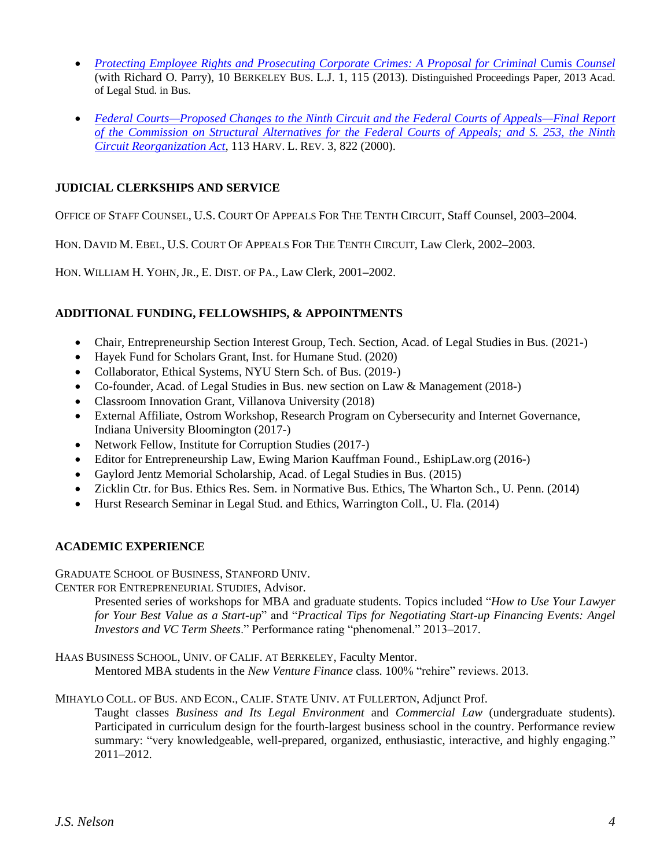- *Protecting Employee [Rights and Prosecuting Corporate Crimes: A Proposal for](https://papers.ssrn.com/sol3/papers.cfm?abstract_id=2488907) Criminal* Cumis *Counsel* (with Richard O. Parry), 10 BERKELEY BUS. L.J. 1, 115 (2013). Distinguished Proceedings Paper, 2013 Acad. of Legal Stud. in Bus.
- *[Federal Courts—Proposed Changes to the Ninth Circuit and the Federal Courts of Appeals—Final Report](https://papers.ssrn.com/sol3/papers.cfm?abstract_id=2488906)  [of the Commission on Structural Alternatives for the Federal Courts of Appeals; and S. 253, the Ninth](https://papers.ssrn.com/sol3/papers.cfm?abstract_id=2488906)  [Circuit Reorganization Act](https://papers.ssrn.com/sol3/papers.cfm?abstract_id=2488906)*, 113 HARV. L. REV. 3, 822 (2000).

# **JUDICIAL CLERKSHIPS AND SERVICE**

OFFICE OF STAFF COUNSEL, U.S. COURT OF APPEALS FOR THE TENTH CIRCUIT, Staff Counsel, 2003**–**2004.

HON. DAVID M. EBEL, U.S. COURT OF APPEALS FOR THE TENTH CIRCUIT, Law Clerk, 2002**–**2003.

HON. WILLIAM H. YOHN, JR., E. DIST. OF PA., Law Clerk, 2001**–**2002.

# **ADDITIONAL FUNDING, FELLOWSHIPS, & APPOINTMENTS**

- Chair, Entrepreneurship Section Interest Group, Tech. Section, Acad. of Legal Studies in Bus. (2021-)
- Hayek Fund for Scholars Grant, Inst. for Humane Stud. (2020)
- Collaborator, Ethical Systems, NYU Stern Sch. of Bus. (2019-)
- Co-founder, Acad. of Legal Studies in Bus. new section on Law & Management (2018-)
- Classroom Innovation Grant, Villanova University (2018)
- External Affiliate, Ostrom Workshop, Research Program on Cybersecurity and Internet Governance, Indiana University Bloomington (2017-)
- Network Fellow, Institute for Corruption Studies (2017-)
- Editor for Entrepreneurship Law, Ewing Marion Kauffman Found., EshipLaw.org (2016-)
- Gaylord Jentz Memorial Scholarship, Acad. of Legal Studies in Bus. (2015)
- Zicklin Ctr. for Bus. Ethics Res. Sem. in Normative Bus. Ethics, The Wharton Sch., U. Penn. (2014)
- Hurst Research Seminar in Legal Stud. and Ethics, Warrington Coll., U. Fla. (2014)

### **ACADEMIC EXPERIENCE**

GRADUATE SCHOOL OF BUSINESS, STANFORD UNIV.

CENTER FOR ENTREPRENEURIAL STUDIES, Advisor.

Presented series of workshops for MBA and graduate students. Topics included "*How to Use Your Lawyer for Your Best Value as a Start-up*" and "*Practical Tips for Negotiating Start-up Financing Events: Angel Investors and VC Term Sheets*." Performance rating "phenomenal." 2013–2017.

HAAS BUSINESS SCHOOL, UNIV. OF CALIF. AT BERKELEY, Faculty Mentor.

Mentored MBA students in the *New Venture Finance* class. 100% "rehire" reviews. 2013.

# MIHAYLO COLL. OF BUS. AND ECON., CALIF. STATE UNIV. AT FULLERTON, Adjunct Prof.

Taught classes *Business and Its Legal Environment* and *Commercial Law* (undergraduate students). Participated in curriculum design for the fourth-largest business school in the country. Performance review summary: "very knowledgeable, well-prepared, organized, enthusiastic, interactive, and highly engaging." 2011–2012.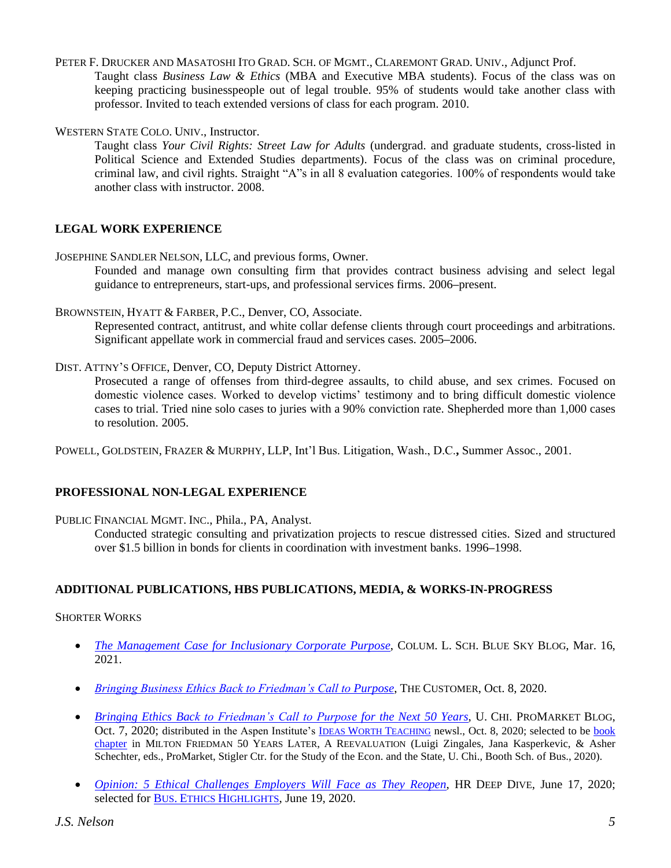PETER F. DRUCKER AND MASATOSHI ITO GRAD. SCH. OF MGMT., CLAREMONT GRAD. UNIV., Adjunct Prof.

Taught class *Business Law & Ethics* (MBA and Executive MBA students). Focus of the class was on keeping practicing businesspeople out of legal trouble. 95% of students would take another class with professor. Invited to teach extended versions of class for each program. 2010.

WESTERN STATE COLO. UNIV., Instructor.

Taught class *Your Civil Rights: Street Law for Adults* (undergrad. and graduate students, cross-listed in Political Science and Extended Studies departments). Focus of the class was on criminal procedure, criminal law, and civil rights. Straight "A"s in all 8 evaluation categories. 100% of respondents would take another class with instructor. 2008.

# **LEGAL WORK EXPERIENCE**

JOSEPHINE SANDLER NELSON, LLC, and previous forms, Owner.

Founded and manage own consulting firm that provides contract business advising and select legal guidance to entrepreneurs, start-ups, and professional services firms. 2006**–**present.

BROWNSTEIN, HYATT & FARBER, P.C., Denver, CO, Associate.

Represented contract, antitrust, and white collar defense clients through court proceedings and arbitrations. Significant appellate work in commercial fraud and services cases. 2005**–**2006.

DIST. ATTNY'S OFFICE, Denver, CO, Deputy District Attorney.

Prosecuted a range of offenses from third-degree assaults, to child abuse, and sex crimes. Focused on domestic violence cases. Worked to develop victims' testimony and to bring difficult domestic violence cases to trial. Tried nine solo cases to juries with a 90% conviction rate. Shepherded more than 1,000 cases to resolution. 2005.

POWELL, GOLDSTEIN, FRAZER & MURPHY, LLP, Int'l Bus. Litigation, Wash., D.C.**,** Summer Assoc., 2001.

### **PROFESSIONAL NON-LEGAL EXPERIENCE**

PUBLIC FINANCIAL MGMT. INC., Phila., PA, Analyst.

Conducted strategic consulting and privatization projects to rescue distressed cities. Sized and structured over \$1.5 billion in bonds for clients in coordination with investment banks. 1996**–**1998.

### **ADDITIONAL PUBLICATIONS, HBS PUBLICATIONS, MEDIA, & WORKS-IN-PROGRESS**

### SHORTER WORKS

- *[The Management Case for Inclusionary](https://clsbluesky.law.columbia.edu/2021/03/16/the-management-case-for-inclusionary-corporate-purpose/) Corporate Purpose*, COLUM. L. SCH. BLUE SKY BLOG, Mar. 16, 2021.
- *[Bringing Business Ethics Back to Friedman's Call to](https://thecustomer.net/bringing-business-ethics-back-to-friedmans-call-to-purpose/) Purpose*, THE CUSTOMER, Oct. 8, 2020.
- *[Bringing Ethics Back to Friedman's Call to Purpose for the Next 50 Years](https://promarket.org/2020/10/07/ethics-milton-friedman-purpose-corporations/)*, U. CHI. PROMARKET BLOG, Oct. 7, 2020; distributed in the Aspen Institute's **IDEAS WORTH T[EACHING](https://myemail.constantcontact.com/Capitalism-After-the-Pandemic---More-Ideas-Worth-Teaching.html?soid=1100946954324&aid=VwDSxOZelK8)** newsl., Oct. 8, 2020; selected to be **book** [chapter](https://promarket.org/wp-content/uploads/2020/11/Milton-Friedman-50-years-later-ebook.pdf) in MILTON FRIEDMAN 50 YEARS LATER, A REEVALUATION (Luigi Zingales, Jana Kasperkevic, & Asher Schechter, eds., ProMarket, Stigler Ctr. for the Study of the Econ. and the State, U. Chi., Booth Sch. of Bus., 2020).
- *[Opinion:](https://www.hrdive.com/news/5-ethical-challenges-employers-will-face-as-they-reopen/579989/) [5 Ethical Challenges Employers Will Face as They Reopen](https://www.hrdive.com/news/5-ethical-challenges-employers-will-face-as-they-reopen/579989/)*, HR DEEP DIVE, June 17, 2020; selected for BUS. ETHICS H[IGHLIGHTS](https://businessethicshighlights.com/2020/06/19/ethical-challenges-for-reopening/), June 19, 2020.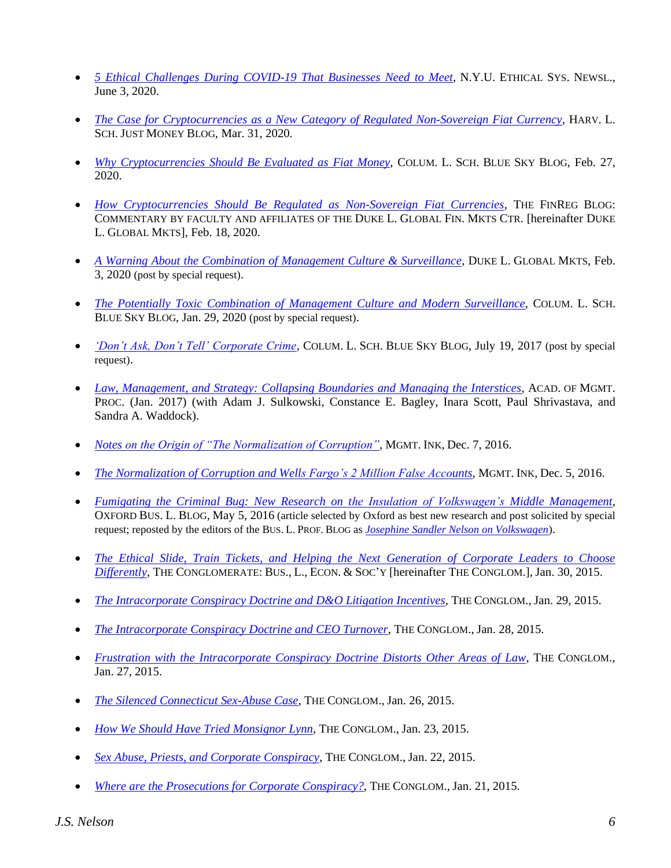- *[5 Ethical Challenges During COVID-19 That Businesses Need to Meet](https://www.ethicalsystems.org/5-ethical-challenges-during-covid-19-that-businesses-need-to-meet/)*, N.Y.U. ETHICAL SYS. NEWSL., June 3, 2020.
- *[The Case for Cryptocurrencies as a New Category of Regulated Non-Sovereign](https://justmoney.org/j-s-nelson-the-case-for-cryptocurrencies-as-a-new-category-of-regulated-non-sovereign-fiat-currency/) Fiat Currency,* HARV. L. SCH. JUST MONEY BLOG, Mar. 31, 2020.
- *[Why Cryptocurrencies Should Be Evaluated as Fiat Money](https://clsbluesky.law.columbia.edu/2020/02/27/why-cryptocurrencies-should-be-evaluated-as-fiat-money/)*, COLUM. L. SCH. BLUE SKY BLOG, Feb. 27, 2020.
- *How Cryptocurrencies Should Be [Regulated as Non-Sovereign Fiat Currencies](https://sites.duke.edu/thefinregblog/2020/02/18/how-cryptocurrencies-should-be-regulated-as-non-sovereign-fiat-currencies/)*, THE FINREG BLOG: COMMENTARY BY FACULTY AND AFFILIATES OF THE DUKE L. GLOBAL FIN. MKTS CTR. [hereinafter DUKE L. GLOBAL MKTS], Feb. 18, 2020.
- *[A Warning About the Combination of Management Culture & Surveillance](https://sites.duke.edu/thefinregblog/2020/02/03/a-warning-about-the-combination-of-management-culture-surveillance/)*, DUKE L. GLOBAL MKTS, Feb. 3, 2020 (post by special request).
- *[The Potentially Toxic Combination of Management](https://clsbluesky.law.columbia.edu/2020/01/29/the-potentially-toxic-combination-of-management-culture-and-modern-surveillance/) Culture and Modern Surveillance*, COLUM. L. SCH. BLUE SKY BLOG, Jan. 29, 2020 (post by special request).
- *['Don't Ask, Don't Tell' Corporate Crime](http://clsbluesky.law.columbia.edu/2017/07/19/dont-ask-dont-tell-corporate-crime/)*, COLUM. L. SCH. BLUE SKY BLOG, July 19, 2017 (post by special request).
- *[Law, Management, and Strategy: Collapsing Boundaries and Managing the Interstices](https://journals.aom.org/doi/10.5465/AMBPP.2017.14871symposium)*, ACAD. OF MGMT. PROC. (Jan. 2017) (with Adam J. Sulkowski, Constance E. Bagley, Inara Scott, Paul Shrivastava, and Sandra A. Waddock).
- *[Notes on the Origin of "The Normalization of Corruption",](https://managementink.wordpress.com/2016/12/07/notes-on-the-origin-of-the-normalization-of-corruption)* MGMT. INK, Dec. 7, 2016.
- *[The Normalization of Corruption and Wells Fargo's 2 Million False Accounts](https://managementink.wordpress.com/2016/12/05/the-normalization-of-corruption-and-wells-fargos-2-million-false-accounts/)*, MGMT. INK, Dec. 5, 2016.
- *[Fumigating the Criminal Bug: New Research on the Insulation of Volkswagen's Middle Management](https://www.law.ox.ac.uk/business-law-blog/blog/2016/05/fumigating-criminal-bug-new-research-insulation-volkswagen%E2%80%99s-middle)*, OXFORD BUS. L. BLOG, May 5, 2016 (article selected by Oxford as best new research and post solicited by special request; reposted by the editors of the BUS. L. PROF. BLOG as *[Josephine Sandler Nelson on Volkswagen](http://lawprofessors.typepad.com/business_law/2016/05/josephine-sandler-nelson-on-volkswagen.html)*).
- *[The Ethical Slide, Train Tickets, and Helping the Next Generation of Corporate Leaders to Choose](http://www.theconglomerate.org/2015/01/the-ethical-slide-train-tickets-and-helping-next-generation-of-corporate-leaders-to-choose-different.html)  [Differently](http://www.theconglomerate.org/2015/01/the-ethical-slide-train-tickets-and-helping-next-generation-of-corporate-leaders-to-choose-different.html)*, THE CONGLOMERATE: BUS., L., ECON. & SOC'Y [hereinafter THE CONGLOM.], Jan. 30, 2015.
- *[The Intracorporate Conspiracy Doctrine and](http://www.theconglomerate.org/2015/01/the-intracorporate-conspiracy-doctrine-and-do-litigation-incentives.html) D&O Litigation Incentives*, THE CONGLOM., Jan. 29, 2015.
- *[The Intracorporate Conspiracy Doctrine and CEO Turnover](http://www.theconglomerate.org/2015/01/the-intracorporate-conspiracy-doctrine-and-ceo-turnover.html)*, THE CONGLOM., Jan. 28, 2015.
- *[Frustration with the Intracorporate Conspiracy Doctrine Distorts Other Areas of Law](http://www.theconglomerate.org/2015/01/frustration-with-the-intracorporate-conspiracy-doctrine-distorts-other-areas-of-law.html)*, THE CONGLOM., Jan. 27, 2015.
- *[The Silenced Connecticut Sex-Abuse Case](http://www.theconglomerate.org/2015/01/the-silenced-connecticut-sex-abuse-case.html)*, THE CONGLOM., Jan. 26, 2015.
- *[How We Should Have Tried Monsignor Lynn](http://www.theconglomerate.org/2015/01/how-we-should-have-tried-monsignor-lynn.html)*, THE CONGLOM., Jan. 23, 2015.
- *[Sex Abuse, Priests, and Corporate Conspiracy](http://www.theconglomerate.org/2015/01/sex-abuse-priests-and-corporate-conspiracy.html)*, THE CONGLOM., Jan. 22, 2015.
- *[Where are the Prosecutions for Corporate Conspiracy?](http://www.theconglomerate.org/2015/01/where-are-the-prosecutions-for-corporate-conspiracy.html)*, THE CONGLOM., Jan. 21, 2015.

*J.S. Nelson 6*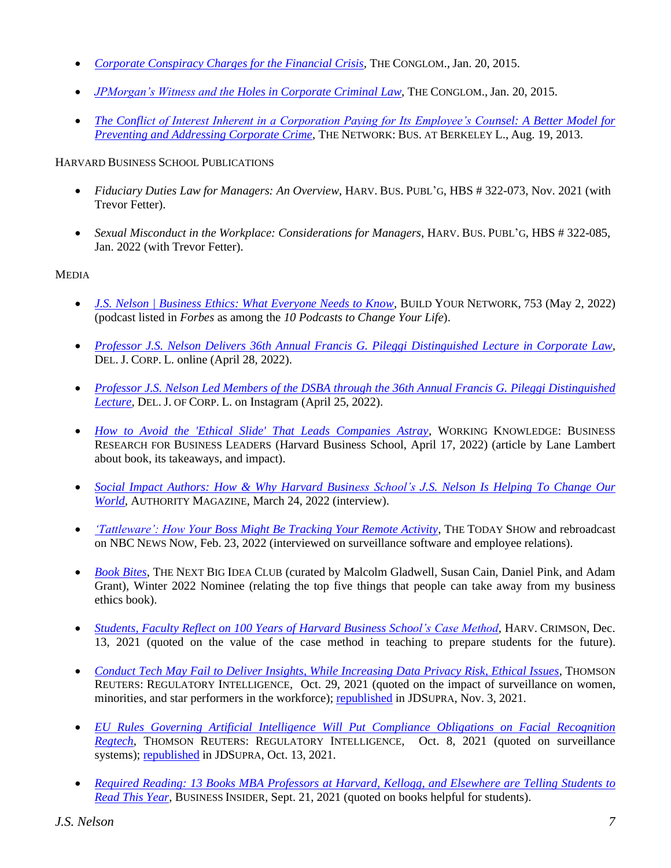- *[Corporate Conspiracy Charges for the Financial Crisis](http://www.theconglomerate.org/2015/01/corporate-conspiracy-charges-for-the-financial-crisis.html)*, THE CONGLOM., Jan. 20, 2015.
- *[JPMorgan's Witness and the Holes in Corporate Criminal Law](http://www.theconglomerate.org/2015/01/jp-morgans-witness-and-the-holes-in-corporate-criminal-law.html)*, THE CONGLOM., Jan. 20, 2015.
- *[The Conflict of Interest Inherent in a Corporation Paying for Its Employee's Counsel: A Better Model for](https://sites.law.berkeley.edu/thenetwork/2013/08/19/the-conflict-of-interest-inherent-in-a-corporation-paying-for-its-employees-counsel-a-better-model-for-preventing-and-addressing-corporate-crime/)  Preventing and [Addressing Corporate Crime](https://sites.law.berkeley.edu/thenetwork/2013/08/19/the-conflict-of-interest-inherent-in-a-corporation-paying-for-its-employees-counsel-a-better-model-for-preventing-and-addressing-corporate-crime/)*, THE NETWORK: BUS. AT BERKELEY L., Aug. 19, 2013.

# HARVARD BUSINESS SCHOOL PUBLICATIONS

- *Fiduciary Duties Law for Managers: An Overview*, HARV. BUS. PUBL'G, HBS # 322-073, Nov. 2021 (with Trevor Fetter).
- *Sexual Misconduct in the Workplace: Considerations for Managers*, HARV. BUS. PUBL'G, HBS # 322-085, Jan. 2022 (with Trevor Fetter).

# MEDIA

- *[J.S. Nelson | Business Ethics: What Everyone Needs to Know](https://redcircle.com/shows/build-your-network/episodes/110e3376-2a93-43f2-802d-e777ffade384)*, BUILD YOUR NETWORK, 753 (May 2, 2022) (podcast listed in *Forbes* as among the *10 Podcasts to Change Your Life*).
- *[Professor J.S. Nelson Delivers 36th Annual Francis G. Pileggi Distinguished Lecture in Corporate Law,](https://djcl.org/professor-j-s-nelson-delivers-36th-annual-francis-g-pileggi-distinguished-lecture-in-corporate-law/)*  DEL. J. CORP. L. online (April 28, 2022).
- *[Professor J.S. Nelson Led Members of the DSBA through the 36th Annual Francis G. Pileggi Distinguished](https://www.instagram.com/p/CcyQrequLy4/)  [Lecture,](https://www.instagram.com/p/CcyQrequLy4/) DEL. J. OF CORP. L. on Instagram (April 25, 2022).*
- *[How to Avoid the 'Ethical Slide' That Leads Companies Astray](https://hbswk.hbs.edu/item/how-to-avoid-the-ethical-slide-that-leads-companies-astray)*, WORKING KNOWLEDGE: BUSINESS RESEARCH FOR BUSINESS LEADERS (Harvard Business School, April 17, 2022) (article by Lane Lambert about book, its takeaways, and impact).
- *[Social Impact Authors: How & Why Harvard Business School's J.S.](https://medium.com/authority-magazine/social-impact-authors-how-why-harvard-business-schools-js-nelson-is-helping-to-change-our-world-899d2fc972f7) Nelson Is Helping To Change Our [World,](https://medium.com/authority-magazine/social-impact-authors-how-why-harvard-business-schools-js-nelson-is-helping-to-change-our-world-899d2fc972f7)* AUTHORITY MAGAZINE, March 24, 2022 (interview).
- *['Tattleware': How Your Boss Might Be Tracking Your Remote Activity](https://www.youtube.com/watch?v=btPThKZNSeo)*, THE TODAY SHOW and rebroadcast on NBC NEWS NOW, Feb. 23, 2022 (interviewed on surveillance software and employee relations).
- *[Book Bites](https://nextbigideaclub.com/magazine/business-ethics-everyone-needs-know-bookbite/32144/?_branch_match_id=971791180588629615&utm_campaign=author-share&utm_medium=share&_branch_referrer=H4sIAAAAAAAAA8soKSkottLXz0utKEnKTM9MSU3USywo0MvJzMvWTyotzsxLLS7WTS3JyEwuBgAuVD5dLAAAAA%3D%3D)*, THE NEXT BIG IDEA CLUB (curated by Malcolm Gladwell, Susan Cain, Daniel Pink, and Adam Grant), Winter 2022 Nominee (relating the top five things that people can take away from my business ethics book).
- *[Students, Faculty Reflect on 100 Years of Harvard Business School's Case Method](https://www.thecrimson.com/article/2021/12/13/100-years-of-hbs-case-method/)*, HARV. CRIMSON, Dec. 13, 2021 (quoted on the value of the case method in teaching to prepare students for the future).
- *Conduct Tech May [Fail to Deliver Insights, While Increasing Data](https://www.thomsonreuters.com/en.html) Privacy Risk, Ethical Issues*, THOMSON REUTERS: REGULATORY INTELLIGENCE, Oct. 29, 2021 (quoted on the impact of surveillance on women, minorities, and star performers in the workforce); [republished](https://www.jdsupra.com/legalnews/conduct-tech-may-fail-to-deliver-2894506/) in JDSUPRA, Nov. 3, 2021.
- *[EU Rules Governing Artificial Intelligence Will Put Compliance Obligations on Facial Recognition](https://www.thomsonreuters.com/en.html)  [Regtech](https://www.thomsonreuters.com/en.html)*, THOMSON REUTERS: REGULATORY INTELLIGENCE, Oct. 8, 2021 (quoted on surveillance systems)[; republished](https://www.jdsupra.com/legalnews/eu-rules-governing-artificial-7340844/#:~:text=EU%20rules%20governing%20artificial%20intelligence%20will%20put%20compliance%20obligations%20on%20facial%20recognition%20regtech,-Rachel%20Wolcott&text=These%20legislative%20and%20regulatory%20efforts,or%20conducted%20under%20licence%20only.) in JDSUPRA, Oct. 13, 2021.
- *Required Reading: 13 Books MBA Professors [at Harvard, Kellogg, and Elsewhere are Telling](https://www.businessinsider.com/books-mba-business-school-professors-recommend-students-read-2021-9) Students to [Read This Year](https://www.businessinsider.com/books-mba-business-school-professors-recommend-students-read-2021-9)*, BUSINESS INSIDER, Sept. 21, 2021 (quoted on books helpful for students).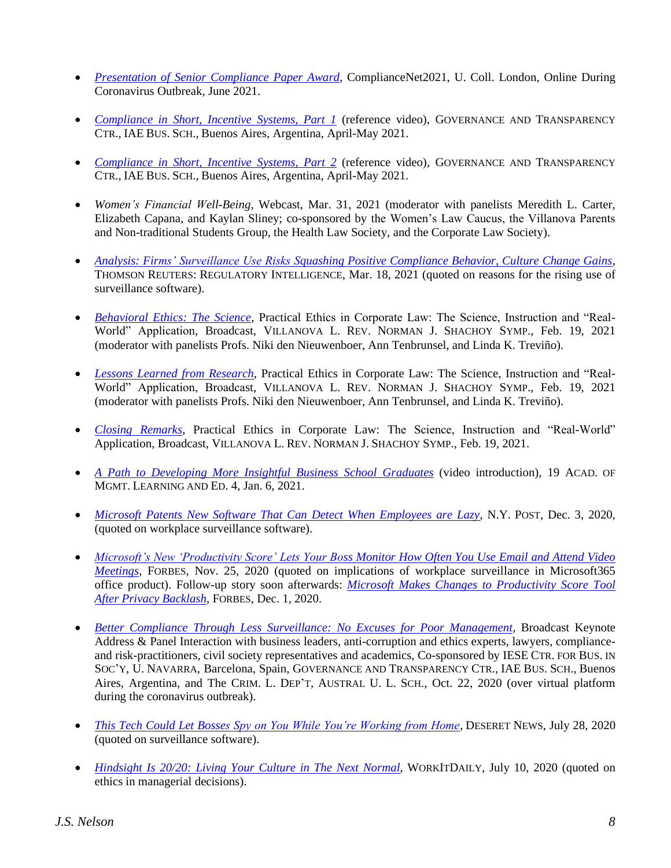- *[Presentation of Senior Compliance Paper Award,](https://www.compliancenet.org/2021)* ComplianceNet2021, U. Coll. London, Online During Coronavirus Outbreak, June 2021.
- *[Compliance in Short, Incentive Systems, Part 1](https://youtu.be/76Mjjh_a4-U)* (reference video), GOVERNANCE AND TRANSPARENCY CTR., IAE BUS. SCH., Buenos Aires, Argentina, April-May 2021.
- *[Compliance in Short, Incentive Systems, Part 2](https://youtu.be/Cs0iE8l2NRI)* (reference video), GOVERNANCE AND TRANSPARENCY CTR., IAE BUS. SCH., Buenos Aires, Argentina, April-May 2021.
- *Women's Financial Well-Being*, Webcast, Mar. 31, 2021 (moderator with panelists Meredith L. Carter, Elizabeth Capana, and Kaylan Sliney; co-sponsored by the Women's Law Caucus, the Villanova Parents and Non-traditional Students Group, the Health Law Society, and the Corporate Law Society).
- *[Analysis: Firms' Surveillance Use Risks Squashing Positive Compliance Behavior, Culture Change Gains](https://www.thomsonreuters.com/en.html)*, THOMSON REUTERS: REGULATORY INTELLIGENCE, Mar. 18, 2021 (quoted on reasons for the rising use of surveillance software).
- *[Behavioral Ethics: The Science](https://vums-web.villanova.edu/Mediasite/Play/e9a8f67e496745dc84dcf59d9a8eddcc1d)*, Practical Ethics in Corporate Law: The Science, Instruction and "Real-World" Application, Broadcast, VILLANOVA L. REV. NORMAN J. SHACHOY SYMP., Feb. 19, 2021 (moderator with panelists Profs. Niki den Nieuwenboer, Ann Tenbrunsel, and Linda K. Treviño).
- *Lessons [Learned from Research](https://vums-web.villanova.edu/Mediasite/Play/51f4a470a3664ecbb408cded447ebdfb1d)*, Practical Ethics in Corporate Law: The Science, Instruction and "Real-World" Application, Broadcast, VILLANOVA L. REV. NORMAN J. SHACHOY SYMP., Feb. 19, 2021 (moderator with panelists Profs. Niki den Nieuwenboer, Ann Tenbrunsel, and Linda K. Treviño).
- *[Closing Remarks](https://vums-web.villanova.edu/Mediasite/Play/b7a411370935405f8c75004e2b0af15a1d)*, Practical Ethics in Corporate Law: The Science, Instruction and "Real-World" Application, Broadcast, VILLANOVA L. REV. NORMAN J. SHACHOY SYMP., Feb. 19, 2021.
- *[A Path to Developing More Insightful Business School Graduates](https://journals.aom.org/doi/epub/10.5465/amle.2018.0036)* (video introduction), 19 ACAD. OF MGMT. LEARNING AND ED. 4, Jan. 6, 2021.
- *[Microsoft Patents New Software That Can Detect When Employees are Lazy](https://nypost.com/2020/12/03/microsoft-patents-software-that-detects-lazy-employees/)*, N.Y. POST, Dec. 3, 2020, (quoted on workplace surveillance software).
- *[Microsoft's New 'Productivity Score' Lets Your Boss Monitor How Often You Use Email and Attend Video](https://www.forbes.com/sites/rachelsandler/2020/11/25/microsofts-new-productivity-score-lets-your-boss-monitor-how-often-you-use-email-and-attend-video-meetings/?sh=62fc5b491a46)  [Meetings](https://www.forbes.com/sites/rachelsandler/2020/11/25/microsofts-new-productivity-score-lets-your-boss-monitor-how-often-you-use-email-and-attend-video-meetings/?sh=62fc5b491a46)*, FORBES, Nov. 25, 2020 (quoted on implications of workplace surveillance in Microsoft365 office product). Follow-up story soon afterwards: *[Microsoft Makes Changes to Productivity Score Tool](https://www.forbes.com/sites/rachelsandler/2020/12/01/microsoft-makes-changes-to-productivity-score-tool-after-privacy-backlash/?sh=70b726c37270)  [After Privacy Backlash](https://www.forbes.com/sites/rachelsandler/2020/12/01/microsoft-makes-changes-to-productivity-score-tool-after-privacy-backlash/?sh=70b726c37270)*, FORBES, Dec. 1, 2020.
- *[Better Compliance Through Less Surveillance: No Excuses for Poor Management](https://youtu.be/PcswWCK2QCM)*, Broadcast Keynote Address & Panel Interaction with business leaders, anti-corruption and ethics experts, lawyers, complianceand risk-practitioners, civil society representatives and academics, Co-sponsored by IESE CTR. FOR BUS. IN SOC'Y, U. NAVARRA, Barcelona, Spain, GOVERNANCE AND TRANSPARENCY CTR., IAE BUS. SCH., Buenos Aires, Argentina, and The CRIM. L. DEP'T, AUSTRAL U. L. SCH., Oct. 22, 2020 (over virtual platform during the coronavirus outbreak).
- *[This Tech Could Let Bosses Spy on You While You're Working from Home](https://www.deseret.com/indepth/2020/7/27/21326471/coronavirus-working-from-home-remote-employee-surveillance-software-time-doctor-prodoscore)*, DESERET NEWS, July 28, 2020 (quoted on surveillance software).
- *[Hindsight Is 20/20: Living Your Culture in The Next](https://www.workitdaily.com/living-your-culture-next-normal/the-past-is-present) Normal*, WORKITDAILY, July 10, 2020 (quoted on ethics in managerial decisions).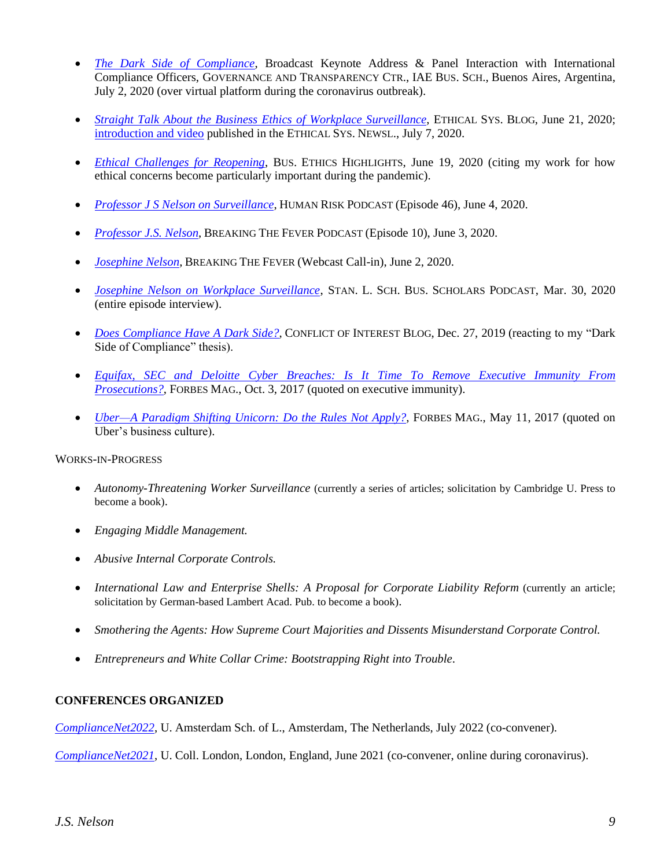- *[The Dark Side of Compliance](https://www.youtube.com/watch?v=hNtLC8Nx0rA&feature=emb_logo)*, Broadcast Keynote Address & Panel Interaction with International Compliance Officers, GOVERNANCE AND TRANSPARENCY CTR., IAE BUS. SCH., Buenos Aires, Argentina, July 2, 2020 (over virtual platform during the coronavirus outbreak).
- *[Straight Talk About the Business Ethics](https://www.ethicalsystems.org/straight-talk-about-the-business-ethics-of-workplace-surveillance/) of Workplace Surveillance*, ETHICAL SYS. BLOG, June 21, 2020; [introduction and video](https://www.ethicalsystems.org/straight-talk-about-the-business-ethics-of-workplace-surveillance/) published in the ETHICAL SYS. NEWSL., July 7, 2020.
- *[Ethical Challenges for Reopening](https://businessethicshighlights.com/2020/06/19/ethical-challenges-for-reopening/)*, BUS. ETHICS HIGHLIGHTS, June 19, 2020 (citing my work for how ethical concerns become particularly important during the pandemic).
- *[Professor J S Nelson on Surveillance](https://human-risk.com/the-human-risk-podcast/)*, HUMAN RISK PODCAST (Episode 46), June 4, 2020.
- *[Professor J.S. Nelson](https://preventablesurprises.com/issues/covid-19-breaking-the-fever/)*, BREAKING THE FEVER PODCAST (Episode 10), June 3, 2020.
- *[Josephine Nelson](https://us02web.zoom.us/j/84716411452)*, BREAKING THE FEVER (Webcast Call-in), June 2, 2020.
- *[Josephine Nelson on Workplace Surveillance](https://andrewkjennings.com/2020/03/30/josephine-nelson-on-workplace-surveillance/)*, STAN. L. SCH. BUS. SCHOLARS PODCAST, Mar. 30, 2020 (entire episode interview).
- *Does [Compliance Have A](http://conflictofinterestblog.com/2019/12/does-compliance-have-a-dark-side.html) Dark Side?*, CONFLICT OF INTEREST BLOG, Dec. 27, 2019 (reacting to my "Dark Side of Compliance" thesis).
- *[Equifax, SEC and Deloitte Cyber Breaches: Is It Time To Remove Executive Immunity From](https://www.forbes.com/sites/roomykhan/2017/10/03/equifax-sec-and-deloitte-cyber-breaches-is-it-time-to-remove-executive-immunity-from-prosecutions/#5b7102bf727f)  [Prosecutions?](https://www.forbes.com/sites/roomykhan/2017/10/03/equifax-sec-and-deloitte-cyber-breaches-is-it-time-to-remove-executive-immunity-from-prosecutions/#5b7102bf727f)*, FORBES MAG., Oct. 3, 2017 (quoted on executive immunity).
- *[Uber—A Paradigm Shifting Unicorn: Do the Rules Not Apply?](https://www.forbes.com/sites/roomykhan/2017/05/11/uber-a-paradigm-shifting-unicorn-do-the-rules-not-apply/2/#725ca8213529)*, FORBES MAG., May 11, 2017 (quoted on Uber's business culture).

### WORKS-IN-PROGRESS

- *Autonomy-Threatening Worker Surveillance* (currently a series of articles; solicitation by Cambridge U. Press to become a book).
- *Engaging Middle Management.*
- *Abusive Internal Corporate Controls.*
- *International Law and Enterprise Shells: A Proposal for Corporate Liability Reform* (currently an article; solicitation by German-based Lambert Acad. Pub. to become a book).
- *Smothering the Agents: How Supreme Court Majorities and Dissents Misunderstand Corporate Control.*
- *Entrepreneurs and White Collar Crime: Bootstrapping Right into Trouble*.

# **CONFERENCES ORGANIZED**

*[ComplianceNet2022](https://www.compliancenet.org/2022)*, U. Amsterdam Sch. of L., Amsterdam, The Netherlands, July 2022 (co-convener).

*[ComplianceNet2021](https://www.compliancenet.org/2021)*, U. Coll. London, London, England, June 2021 (co-convener, online during coronavirus).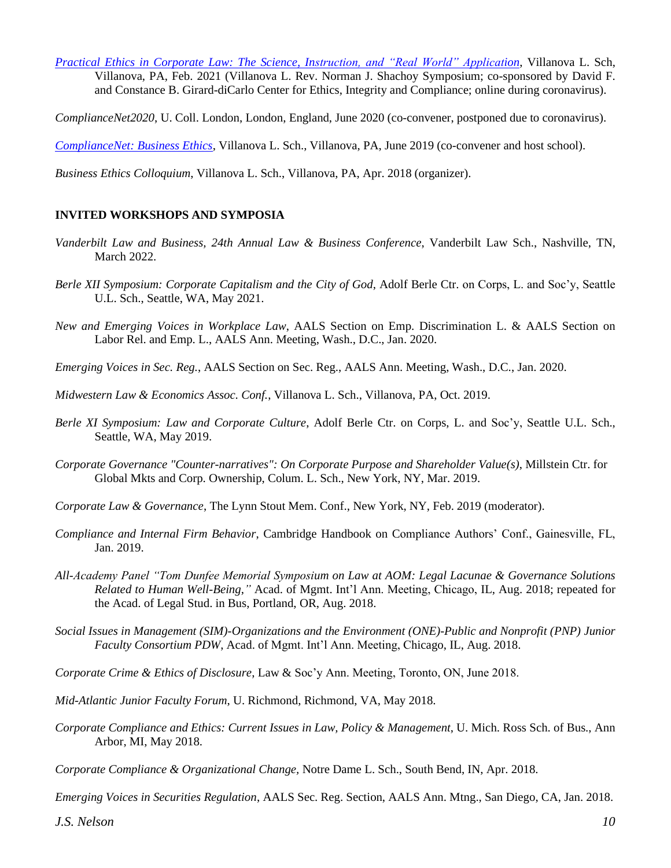*Practical [Ethics in Corporate Law: The Science, Instruction, and "Real World" Application](https://www.youtube.com/watch?v=zWzbQXmQxTk)*, Villanova L. Sch, Villanova, PA, Feb. 2021 (Villanova L. Rev. Norman J. Shachoy Symposium; co-sponsored by David F. and Constance B. Girard-diCarlo Center for Ethics, Integrity and Compliance; online during coronavirus).

*ComplianceNet2020*, U. Coll. London, London, England, June 2020 (co-convener, postponed due to coronavirus).

*[ComplianceNet: Business Ethics](https://www.compliancenet.org/copy-of-2019)*, Villanova L. Sch., Villanova, PA, June 2019 (co-convener and host school).

*Business Ethics Colloquium*, Villanova L. Sch., Villanova, PA, Apr. 2018 (organizer).

# **INVITED WORKSHOPS AND SYMPOSIA**

- *Vanderbilt Law and Business, 24th Annual Law & Business Conference*, Vanderbilt Law Sch., Nashville, TN, March 2022.
- *Berle XII Symposium: Corporate Capitalism and the City of God*, Adolf Berle Ctr. on Corps, L. and Soc'y, Seattle U.L. Sch., Seattle, WA, May 2021.
- *New and Emerging Voices in Workplace Law*, AALS Section on Emp. Discrimination L. & AALS Section on Labor Rel. and Emp. L., AALS Ann. Meeting, Wash., D.C., Jan. 2020.
- *Emerging Voices in Sec. Reg.*, AALS Section on Sec. Reg., AALS Ann. Meeting, Wash., D.C., Jan. 2020.
- *Midwestern Law & Economics Assoc. Conf.*, Villanova L. Sch., Villanova, PA, Oct. 2019.
- *Berle XI Symposium: Law and Corporate Culture*, Adolf Berle Ctr. on Corps, L. and Soc'y, Seattle U.L. Sch., Seattle, WA, May 2019.
- *Corporate Governance "Counter-narratives": On Corporate Purpose and Shareholder Value(s)*, Millstein Ctr. for Global Mkts and Corp. Ownership, Colum. L. Sch., New York, NY, Mar. 2019.
- *Corporate Law & Governance*, The Lynn Stout Mem. Conf., New York, NY, Feb. 2019 (moderator).
- *Compliance and Internal Firm Behavior*, Cambridge Handbook on Compliance Authors' Conf., Gainesville, FL, Jan. 2019.
- *All-Academy Panel "Tom Dunfee Memorial Symposium on Law at AOM: Legal Lacunae & Governance Solutions Related to Human Well-Being*,*"* Acad. of Mgmt. Int'l Ann. Meeting, Chicago, IL, Aug. 2018; repeated for the Acad. of Legal Stud. in Bus, Portland, OR, Aug. 2018.
- *Social Issues in Management (SIM)-Organizations and the Environment (ONE)-Public and Nonprofit (PNP) Junior Faculty Consortium PDW*, Acad. of Mgmt. Int'l Ann. Meeting, Chicago, IL, Aug. 2018.
- *Corporate Crime & Ethics of Disclosure*, Law & Soc'y Ann. Meeting, Toronto, ON, June 2018.
- *Mid-Atlantic Junior Faculty Forum*, U. Richmond, Richmond, VA, May 2018.
- *Corporate Compliance and Ethics: Current Issues in Law, Policy & Management*, U. Mich. Ross Sch. of Bus., Ann Arbor, MI, May 2018.
- *Corporate Compliance & Organizational Change,* Notre Dame L. Sch., South Bend, IN, Apr. 2018.

*Emerging Voices in Securities Regulation*, AALS Sec. Reg. Section, AALS Ann. Mtng., San Diego, CA, Jan. 2018.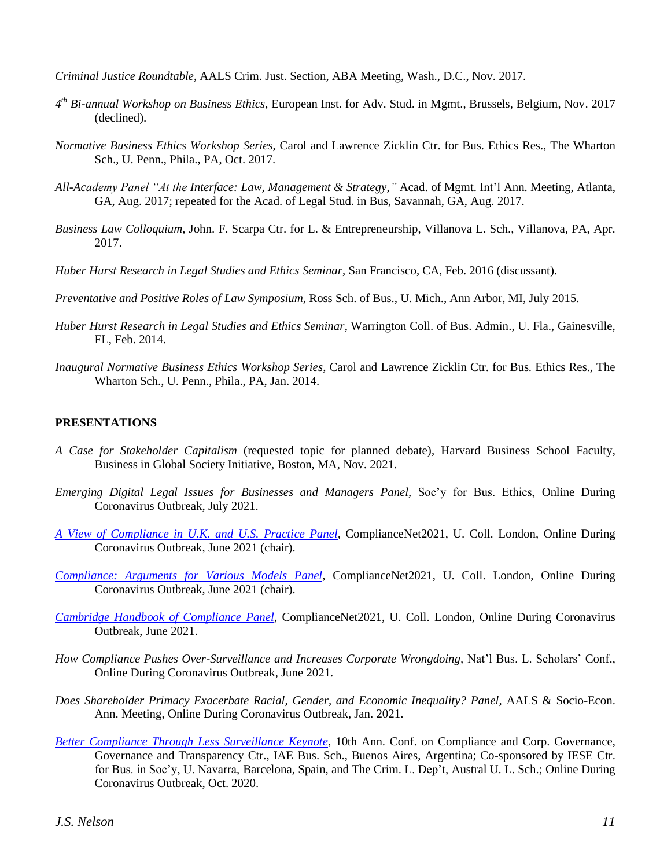*Criminal Justice Roundtable*, AALS Crim. Just. Section, ABA Meeting, Wash., D.C., Nov. 2017.

- *4 th Bi-annual Workshop on Business Ethics,* European Inst. for Adv. Stud. in Mgmt., Brussels, Belgium, Nov. 2017 (declined).
- *Normative Business Ethics Workshop Series*, Carol and Lawrence Zicklin Ctr. for Bus. Ethics Res., The Wharton Sch., U. Penn., Phila., PA, Oct. 2017.
- *All-Academy Panel "At the Interface: Law, Management & Strategy*,*"* Acad. of Mgmt. Int'l Ann. Meeting, Atlanta, GA, Aug. 2017; repeated for the Acad. of Legal Stud. in Bus, Savannah, GA, Aug. 2017.
- *Business Law Colloquium,* John. F. Scarpa Ctr. for L. & Entrepreneurship, Villanova L. Sch., Villanova, PA, Apr. 2017.
- *Huber Hurst Research in Legal Studies and Ethics Seminar*, San Francisco, CA, Feb. 2016 (discussant).
- *Preventative and Positive Roles of Law Symposium*, Ross Sch. of Bus., U. Mich., Ann Arbor, MI, July 2015.
- *Huber Hurst Research in Legal Studies and Ethics Seminar*, Warrington Coll. of Bus. Admin., U. Fla., Gainesville, FL, Feb. 2014.
- *Inaugural Normative Business Ethics Workshop Series*, Carol and Lawrence Zicklin Ctr. for Bus. Ethics Res., The Wharton Sch., U. Penn., Phila., PA, Jan. 2014.

#### **PRESENTATIONS**

- *A Case for Stakeholder Capitalism* (requested topic for planned debate), Harvard Business School Faculty, Business in Global Society Initiative, Boston, MA, Nov. 2021.
- *Emerging Digital Legal Issues for Businesses and Managers Panel,* Soc'y for Bus. Ethics, Online During Coronavirus Outbreak, July 2021.
- *[A View of Compliance in U.K. and U.S. Practice Panel,](https://www.compliancenet.org/2021)* ComplianceNet2021, U. Coll. London, Online During Coronavirus Outbreak, June 2021 (chair).
- *[Compliance: Arguments for Various](https://www.compliancenet.org/2021) Models Panel,* ComplianceNet2021, U. Coll. London, Online During Coronavirus Outbreak, June 2021 (chair).
- *[Cambridge Handbook of Compliance Panel,](https://www.compliancenet.org/2021)* ComplianceNet2021, U. Coll. London, Online During Coronavirus Outbreak, June 2021.
- *How Compliance Pushes Over-Surveillance and Increases Corporate Wrongdoing,* Nat'l Bus. L. Scholars' Conf., Online During Coronavirus Outbreak, June 2021.
- *Does Shareholder Primacy Exacerbate Racial, Gender, and Economic Inequality? Panel,* AALS & Socio-Econ. Ann. Meeting, Online During Coronavirus Outbreak, Jan. 2021.
- *[Better Compliance Through Less Surveillance Keynote](https://youtu.be/PcswWCK2QCM)*, 10th Ann. Conf. on Compliance and Corp. Governance, Governance and Transparency Ctr., IAE Bus. Sch., Buenos Aires, Argentina; Co-sponsored by IESE Ctr. for Bus. in Soc'y, U. Navarra, Barcelona, Spain, and The Crim. L. Dep't, Austral U. L. Sch.; Online During Coronavirus Outbreak, Oct. 2020.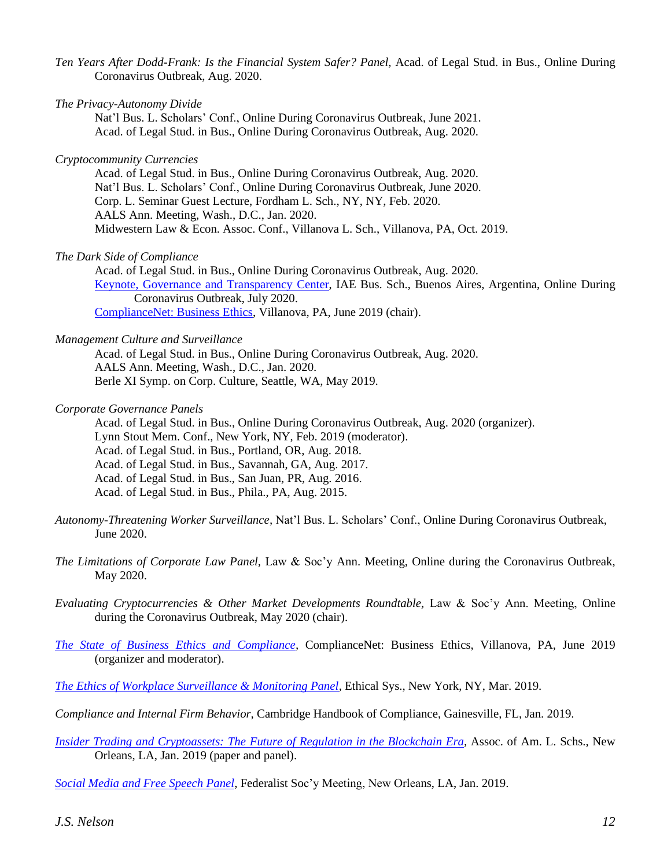- *Ten Years After Dodd-Frank: Is the Financial System Safer? Panel,* Acad. of Legal Stud. in Bus., Online During Coronavirus Outbreak, Aug. 2020.
- *The Privacy-Autonomy Divide*

Nat'l Bus. L. Scholars' Conf., Online During Coronavirus Outbreak, June 2021. Acad. of Legal Stud. in Bus., Online During Coronavirus Outbreak, Aug. 2020.

#### *Cryptocommunity Currencies*

Acad. of Legal Stud. in Bus., Online During Coronavirus Outbreak, Aug. 2020. Nat'l Bus. L. Scholars' Conf., Online During Coronavirus Outbreak, June 2020. Corp. L. Seminar Guest Lecture, Fordham L. Sch., NY, NY, Feb. 2020. AALS Ann. Meeting, Wash., D.C., Jan. 2020. Midwestern Law & Econ. Assoc. Conf., Villanova L. Sch., Villanova, PA, Oct. 2019.

#### *The Dark Side of Compliance*

Acad. of Legal Stud. in Bus., Online During Coronavirus Outbreak, Aug. 2020. Keynote, Governance and Transparency Center, IAE Bus. Sch., Buenos Aires, Argentina, Online During Coronavirus Outbreak, July 2020. ComplianceNet: Business Ethics, Villanova, PA, June 2019 (chair).

#### *Management Culture and Surveillance*

Acad. of Legal Stud. in Bus., Online During Coronavirus Outbreak, Aug. 2020. AALS Ann. Meeting, Wash., D.C., Jan. 2020. Berle XI Symp. on Corp. Culture, Seattle, WA, May 2019.

#### *Corporate Governance Panels*

Acad. of Legal Stud. in Bus., Online During Coronavirus Outbreak, Aug. 2020 (organizer). Lynn Stout Mem. Conf., New York, NY, Feb. 2019 (moderator). Acad. of Legal Stud. in Bus., Portland, OR, Aug. 2018. Acad. of Legal Stud. in Bus., Savannah, GA, Aug. 2017. Acad. of Legal Stud. in Bus., San Juan, PR, Aug. 2016. Acad. of Legal Stud. in Bus., Phila., PA, Aug. 2015.

- *Autonomy-Threatening Worker Surveillance,* Nat'l Bus. L. Scholars' Conf., Online During Coronavirus Outbreak, June 2020.
- *The Limitations of Corporate Law Panel,* Law & Soc'y Ann. Meeting, Online during the Coronavirus Outbreak, May 2020.

*Evaluating Cryptocurrencies & Other Market Developments Roundtable,* Law & Soc'y Ann. Meeting, Online during the Coronavirus Outbreak, May 2020 (chair).

- *The State of Business Ethics and Compliance,* ComplianceNet: Business Ethics, Villanova, PA, June 2019 (organizer and moderator).
- *The Ethics of Workplace Surveillance & Monitoring Panel,* Ethical Sys., New York, NY, Mar. 2019.
- *Compliance and Internal Firm Behavior,* Cambridge Handbook of Compliance, Gainesville, FL, Jan. 2019.
- *Insider Trading and Cryptoassets: The Future of Regulation in the Blockchain Era,* Assoc. of Am. L. Schs., New Orleans, LA, Jan. 2019 (paper and panel).

*Social Media and Free Speech Panel*, Federalist Soc'y Meeting, New Orleans, LA, Jan. 2019.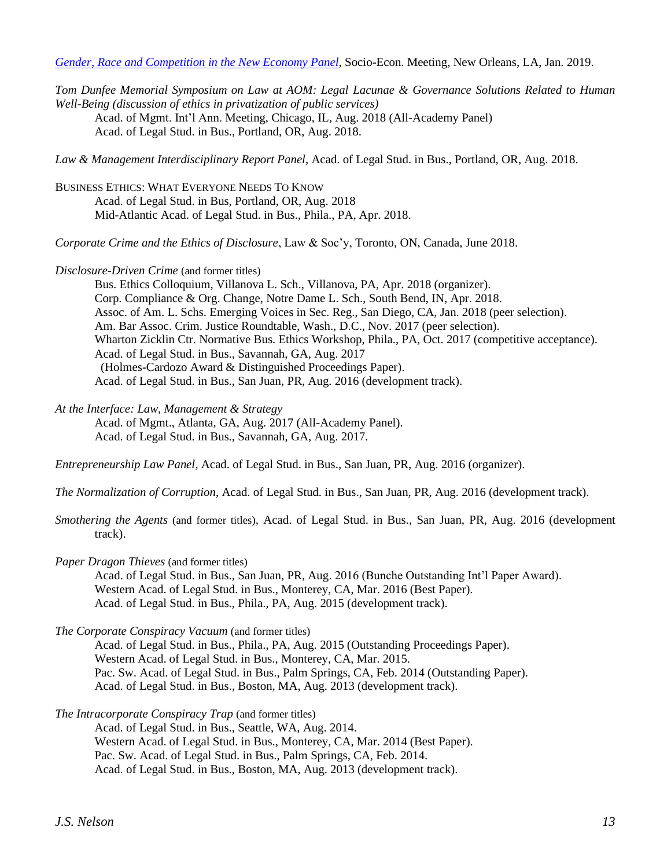*Gender, Race and Competition in the New Economy Panel*, Socio-Econ. Meeting, New Orleans, LA, Jan. 2019.

*Tom Dunfee Memorial Symposium on Law at AOM: Legal Lacunae & Governance Solutions Related to Human Well-Being (discussion of ethics in privatization of public services)* Acad. of Mgmt. Int'l Ann. Meeting, Chicago, IL, Aug. 2018 (All-Academy Panel) Acad. of Legal Stud. in Bus., Portland, OR, Aug. 2018.

*Law & Management Interdisciplinary Report Panel*, Acad. of Legal Stud. in Bus., Portland, OR, Aug. 2018.

BUSINESS ETHICS: WHAT EVERYONE NEEDS TO KNOW Acad. of Legal Stud. in Bus, Portland, OR, Aug. 2018 Mid-Atlantic Acad. of Legal Stud. in Bus., Phila., PA, Apr. 2018.

*Corporate Crime and the Ethics of Disclosure*, Law & Soc'y, Toronto, ON, Canada, June 2018.

*Disclosure-Driven Crime* (and former titles)

Bus. Ethics Colloquium, Villanova L. Sch., Villanova, PA, Apr. 2018 (organizer). Corp. Compliance & Org. Change, Notre Dame L. Sch., South Bend, IN, Apr. 2018. Assoc. of Am. L. Schs. Emerging Voices in Sec. Reg., San Diego, CA, Jan. 2018 (peer selection). Am. Bar Assoc. Crim. Justice Roundtable, Wash., D.C., Nov. 2017 (peer selection). Wharton Zicklin Ctr. Normative Bus. Ethics Workshop, Phila., PA, Oct. 2017 (competitive acceptance). Acad. of Legal Stud. in Bus., Savannah, GA, Aug. 2017 (Holmes-Cardozo Award & Distinguished Proceedings Paper). Acad. of Legal Stud. in Bus., San Juan, PR, Aug. 2016 (development track).

*At the Interface: Law, Management & Strategy*

Acad. of Mgmt., Atlanta, GA, Aug. 2017 (All-Academy Panel). Acad. of Legal Stud. in Bus., Savannah, GA, Aug. 2017.

*Entrepreneurship Law Panel*, Acad. of Legal Stud. in Bus., San Juan, PR, Aug. 2016 (organizer).

*The Normalization of Corruption*, Acad. of Legal Stud. in Bus., San Juan, PR, Aug. 2016 (development track).

- *Smothering the Agents* (and former titles)*,* Acad. of Legal Stud. in Bus., San Juan, PR, Aug. 2016 (development track).
- *Paper Dragon Thieves* (and former titles)

Acad. of Legal Stud. in Bus., San Juan, PR, Aug. 2016 (Bunche Outstanding Int'l Paper Award). Western Acad. of Legal Stud. in Bus., Monterey, CA, Mar. 2016 (Best Paper). Acad. of Legal Stud. in Bus., Phila., PA, Aug. 2015 (development track).

*The Corporate Conspiracy Vacuum* (and former titles)

Acad. of Legal Stud. in Bus., Phila., PA, Aug. 2015 (Outstanding Proceedings Paper). Western Acad. of Legal Stud. in Bus., Monterey, CA, Mar. 2015. Pac. Sw. Acad. of Legal Stud. in Bus., Palm Springs, CA, Feb. 2014 (Outstanding Paper). Acad. of Legal Stud. in Bus., Boston, MA, Aug. 2013 (development track).

*The Intracorporate Conspiracy Trap* (and former titles)

Acad. of Legal Stud. in Bus., Seattle, WA, Aug. 2014.

Western Acad. of Legal Stud. in Bus., Monterey, CA, Mar. 2014 (Best Paper).

Pac. Sw. Acad. of Legal Stud. in Bus., Palm Springs, CA, Feb. 2014.

Acad. of Legal Stud. in Bus., Boston, MA, Aug. 2013 (development track).